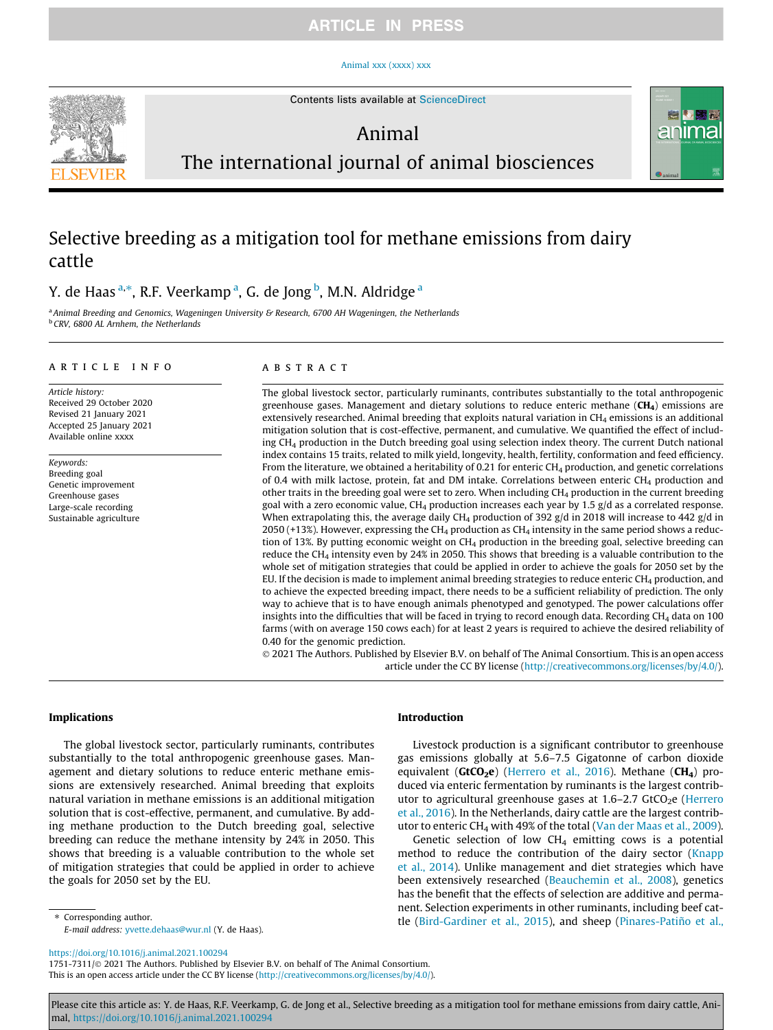### **ARTICLE IN PRESS**

#### [Animal xxx \(xxxx\) xxx](https://doi.org/10.1016/j.animal.2021.100294)



Contents lists available at [ScienceDirect](http://www.sciencedirect.com/science/journal/17517311)

### Animal



# The international journal of animal biosciences

## Selective breeding as a mitigation tool for methane emissions from dairy cattle

Y. de Haas <sup>a,</sup>\*, R.F. Veerkamp <sup>a</sup>, G. de Jong <sup>b</sup>, M.N. Aldridge <sup>a</sup>

<sup>a</sup> Animal Breeding and Genomics, Wageningen University & Research, 6700 AH Wageningen, the Netherlands <sup>b</sup> CRV, 6800 AL Arnhem, the Netherlands

#### article info

Article history: Received 29 October 2020 Revised 21 January 2021 Accepted 25 January 2021 Available online xxxx

Keywords: Breeding goal Genetic improvement Greenhouse gases Large-scale recording Sustainable agriculture

#### ABSTRACT

The global livestock sector, particularly ruminants, contributes substantially to the total anthropogenic greenhouse gases. Management and dietary solutions to reduce enteric methane  $(CH<sub>4</sub>)$  emissions are extensively researched. Animal breeding that exploits natural variation in CH<sub>4</sub> emissions is an additional mitigation solution that is cost-effective, permanent, and cumulative. We quantified the effect of including CH4 production in the Dutch breeding goal using selection index theory. The current Dutch national index contains 15 traits, related to milk yield, longevity, health, fertility, conformation and feed efficiency. From the literature, we obtained a heritability of 0.21 for enteric  $CH<sub>4</sub>$  production, and genetic correlations of 0.4 with milk lactose, protein, fat and DM intake. Correlations between enteric CH<sub>4</sub> production and other traits in the breeding goal were set to zero. When including  $CH<sub>4</sub>$  production in the current breeding goal with a zero economic value, CH<sub>4</sub> production increases each year by 1.5 g/d as a correlated response. When extrapolating this, the average daily CH<sub>4</sub> production of 392 g/d in 2018 will increase to 442 g/d in 2050 (+13%). However, expressing the CH<sub>4</sub> production as CH<sub>4</sub> intensity in the same period shows a reduction of 13%. By putting economic weight on CH<sub>4</sub> production in the breeding goal, selective breeding can reduce the CH4 intensity even by 24% in 2050. This shows that breeding is a valuable contribution to the whole set of mitigation strategies that could be applied in order to achieve the goals for 2050 set by the EU. If the decision is made to implement animal breeding strategies to reduce enteric  $CH<sub>4</sub>$  production, and to achieve the expected breeding impact, there needs to be a sufficient reliability of prediction. The only way to achieve that is to have enough animals phenotyped and genotyped. The power calculations offer insights into the difficulties that will be faced in trying to record enough data. Recording CH<sub>4</sub> data on 100 farms (with on average 150 cows each) for at least 2 years is required to achieve the desired reliability of 0.40 for the genomic prediction.

 2021 The Authors. Published by Elsevier B.V. on behalf of The Animal Consortium. This is an open access article under the CC BY license [\(http://creativecommons.org/licenses/by/4.0/](http://creativecommons.org/licenses/by/4.0/)).

#### Implications

The global livestock sector, particularly ruminants, contributes substantially to the total anthropogenic greenhouse gases. Management and dietary solutions to reduce enteric methane emissions are extensively researched. Animal breeding that exploits natural variation in methane emissions is an additional mitigation solution that is cost-effective, permanent, and cumulative. By adding methane production to the Dutch breeding goal, selective breeding can reduce the methane intensity by 24% in 2050. This shows that breeding is a valuable contribution to the whole set of mitigation strategies that could be applied in order to achieve the goals for 2050 set by the EU.

⇑ Corresponding author.

E-mail address: [yvette.dehaas@wur.nl](mailto:yvette.dehaas@wur.nl) (Y. de Haas).

#### <https://doi.org/10.1016/j.animal.2021.100294>

1751-7311/© 2021 The Authors. Published by Elsevier B.V. on behalf of The Animal Consortium. This is an open access article under the CC BY license ([http://creativecommons.org/licenses/by/4.0/\)](http://creativecommons.org/licenses/by/4.0/).

#### Introduction

Livestock production is a significant contributor to greenhouse gas emissions globally at 5.6–7.5 Gigatonne of carbon dioxide equivalent ( $GtCO<sub>2</sub>e$ ) [\(Herrero et al., 2016\)](#page-8-0). Methane ( $CH<sub>4</sub>$ ) produced via enteric fermentation by ruminants is the largest contributor to agricultural greenhouse gases at  $1.6-2.7$  GtCO<sub>2</sub>e [\(Herrero](#page-8-0) [et al., 2016](#page-8-0)). In the Netherlands, dairy cattle are the largest contrib-utor to enteric CH<sub>4</sub> with 49% of the total ([Van der Maas et al., 2009\)](#page-8-0).

Genetic selection of low  $CH<sub>4</sub>$  emitting cows is a potential method to reduce the contribution of the dairy sector [\(Knapp](#page-8-0) [et al., 2014\)](#page-8-0). Unlike management and diet strategies which have been extensively researched [\(Beauchemin et al., 2008\)](#page-8-0), genetics has the benefit that the effects of selection are additive and permanent. Selection experiments in other ruminants, including beef cattle [\(Bird-Gardiner et al., 2015\)](#page-8-0), and sheep ([Pinares-Patiño et al.,](#page-8-0)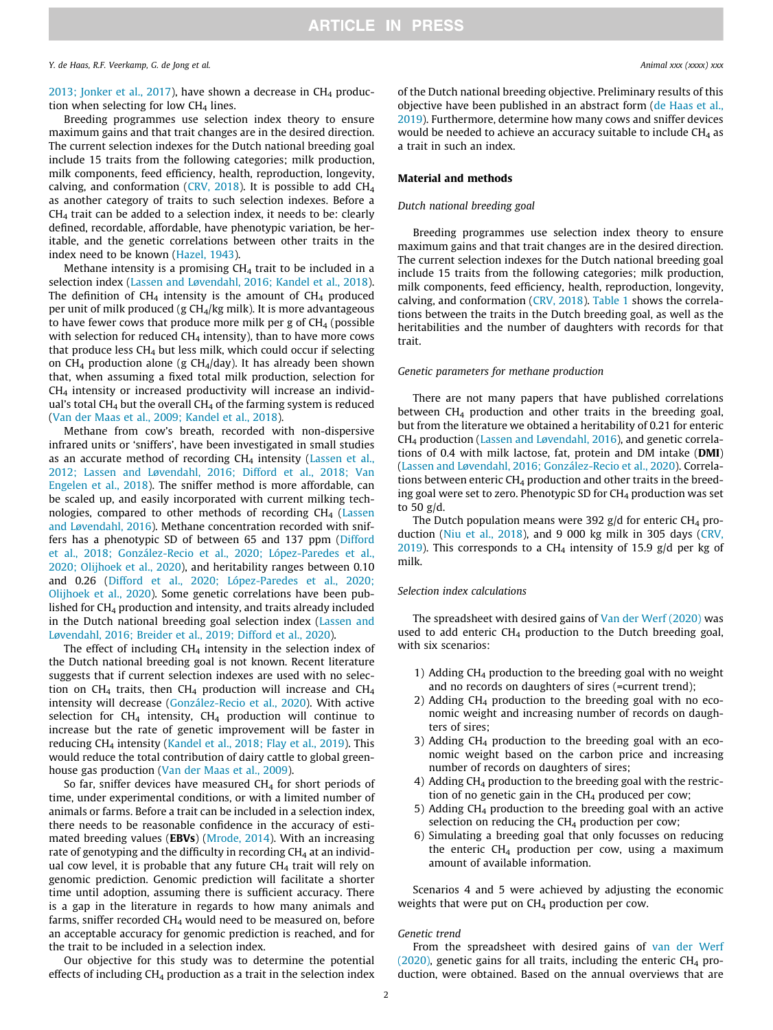[2013; Jonker et al., 2017\)](#page-8-0), have shown a decrease in  $CH_4$  production when selecting for low  $CH<sub>4</sub>$  lines.

Breeding programmes use selection index theory to ensure maximum gains and that trait changes are in the desired direction. The current selection indexes for the Dutch national breeding goal include 15 traits from the following categories; milk production, milk components, feed efficiency, health, reproduction, longevity, calving, and conformation ([CRV, 2018](#page-8-0)). It is possible to add  $CH<sub>4</sub>$ as another category of traits to such selection indexes. Before a  $CH<sub>4</sub>$  trait can be added to a selection index, it needs to be: clearly defined, recordable, affordable, have phenotypic variation, be heritable, and the genetic correlations between other traits in the index need to be known ([Hazel, 1943\)](#page-8-0).

Methane intensity is a promising  $CH<sub>4</sub>$  trait to be included in a selection index ([Lassen and Løvendahl, 2016; Kandel et al., 2018\)](#page-8-0). The definition of  $CH<sub>4</sub>$  intensity is the amount of  $CH<sub>4</sub>$  produced per unit of milk produced (g  $CH<sub>4</sub>/kg$  milk). It is more advantageous to have fewer cows that produce more milk per g of  $CH<sub>4</sub>$  (possible with selection for reduced  $CH<sub>4</sub>$  intensity), than to have more cows that produce less  $CH_4$  but less milk, which could occur if selecting on  $CH_4$  production alone (g  $CH_4$ /day). It has already been shown that, when assuming a fixed total milk production, selection for CH4 intensity or increased productivity will increase an individual's total CH<sub>4</sub> but the overall CH<sub>4</sub> of the farming system is reduced ([Van der Maas et al., 2009; Kandel et al., 2018\)](#page-8-0).

Methane from cow's breath, recorded with non-dispersive infrared units or 'sniffers', have been investigated in small studies as an accurate method of recording  $CH<sub>4</sub>$  intensity ([Lassen et al.,](#page-8-0) [2012; Lassen and L](#page-8-0)ø[vendahl, 2016; Difford et al., 2018; Van](#page-8-0) [Engelen et al., 2018](#page-8-0)). The sniffer method is more affordable, can be scaled up, and easily incorporated with current milking technologies, compared to other methods of recording CH4 ([Lassen](#page-8-0) [and Løvendahl, 2016\)](#page-8-0). Methane concentration recorded with sniffers has a phenotypic SD of between 65 and 137 ppm [\(Difford](#page-8-0) [et al., 2018; González-Recio et al., 2020; López-Paredes et al.,](#page-8-0) [2020; Olijhoek et al., 2020\)](#page-8-0), and heritability ranges between 0.10 and 0.26 ([Difford et al., 2020; López-Paredes et al., 2020;](#page-8-0) [Olijhoek et al., 2020](#page-8-0)). Some genetic correlations have been published for  $CH_4$  production and intensity, and traits already included in the Dutch national breeding goal selection index [\(Lassen and](#page-8-0) [Løvendahl, 2016; Breider et al., 2019; Difford et al., 2020](#page-8-0)).

The effect of including  $CH_4$  intensity in the selection index of the Dutch national breeding goal is not known. Recent literature suggests that if current selection indexes are used with no selection on CH<sub>4</sub> traits, then CH<sub>4</sub> production will increase and CH<sub>4</sub> intensity will decrease [\(González-Recio et al., 2020\)](#page-8-0). With active selection for  $CH_4$  intensity,  $CH_4$  production will continue to increase but the rate of genetic improvement will be faster in reducing CH4 intensity [\(Kandel et al., 2018; Flay et al., 2019](#page-8-0)). This would reduce the total contribution of dairy cattle to global greenhouse gas production ([Van der Maas et al., 2009\)](#page-8-0).

So far, sniffer devices have measured  $CH<sub>4</sub>$  for short periods of time, under experimental conditions, or with a limited number of animals or farms. Before a trait can be included in a selection index, there needs to be reasonable confidence in the accuracy of estimated breeding values (EBVs) [\(Mrode, 2014\)](#page-8-0). With an increasing rate of genotyping and the difficulty in recording  $CH<sub>4</sub>$  at an individual cow level, it is probable that any future  $CH<sub>4</sub>$  trait will rely on genomic prediction. Genomic prediction will facilitate a shorter time until adoption, assuming there is sufficient accuracy. There is a gap in the literature in regards to how many animals and farms, sniffer recorded  $CH<sub>4</sub>$  would need to be measured on, before an acceptable accuracy for genomic prediction is reached, and for the trait to be included in a selection index.

Our objective for this study was to determine the potential effects of including  $CH_4$  production as a trait in the selection index of the Dutch national breeding objective. Preliminary results of this objective have been published in an abstract form [\(de Haas et al.,](#page-8-0) [2019\)](#page-8-0). Furthermore, determine how many cows and sniffer devices would be needed to achieve an accuracy suitable to include  $CH<sub>4</sub>$  as a trait in such an index.

#### Material and methods

#### Dutch national breeding goal

Breeding programmes use selection index theory to ensure maximum gains and that trait changes are in the desired direction. The current selection indexes for the Dutch national breeding goal include 15 traits from the following categories; milk production, milk components, feed efficiency, health, reproduction, longevity, calving, and conformation ([CRV, 2018\)](#page-8-0). [Table 1](#page-2-0) shows the correlations between the traits in the Dutch breeding goal, as well as the heritabilities and the number of daughters with records for that trait.

#### Genetic parameters for methane production

There are not many papers that have published correlations between  $CH_4$  production and other traits in the breeding goal, but from the literature we obtained a heritability of 0.21 for enteric CH4 production [\(Lassen and Løvendahl, 2016](#page-8-0)), and genetic correlations of 0.4 with milk lactose, fat, protein and DM intake (DMI) ([Lassen and Løvendahl, 2016; González-Recio et al., 2020](#page-8-0)). Correlations between enteric  $CH<sub>4</sub>$  production and other traits in the breeding goal were set to zero. Phenotypic SD for  $CH<sub>4</sub>$  production was set to 50 g/d.

The Dutch population means were 392 g/d for enteric  $CH_4$  production ([Niu et al., 2018\)](#page-8-0), and 9 000 kg milk in 305 days [\(CRV,](#page-8-0) [2019\)](#page-8-0). This corresponds to a  $CH<sub>4</sub>$  intensity of 15.9 g/d per kg of milk.

#### Selection index calculations

The spreadsheet with desired gains of [Van der Werf \(2020\)](#page-8-0) was used to add enteric  $CH_4$  production to the Dutch breeding goal, with six scenarios:

- 1) Adding CH4 production to the breeding goal with no weight and no records on daughters of sires (=current trend);
- 2) Adding  $CH_4$  production to the breeding goal with no economic weight and increasing number of records on daughters of sires;
- 3) Adding  $CH_4$  production to the breeding goal with an economic weight based on the carbon price and increasing number of records on daughters of sires;
- 4) Adding  $CH<sub>4</sub>$  production to the breeding goal with the restriction of no genetic gain in the  $CH<sub>4</sub>$  produced per cow;
- 5) Adding CH4 production to the breeding goal with an active selection on reducing the  $CH<sub>4</sub>$  production per cow;
- 6) Simulating a breeding goal that only focusses on reducing the enteric  $CH<sub>4</sub>$  production per cow, using a maximum amount of available information.

Scenarios 4 and 5 were achieved by adjusting the economic weights that were put on  $CH<sub>4</sub>$  production per cow.

#### Genetic trend

From the spreadsheet with desired gains of [van der Werf](#page-8-0) [\(2020\)](#page-8-0), genetic gains for all traits, including the enteric  $CH_4$  production, were obtained. Based on the annual overviews that are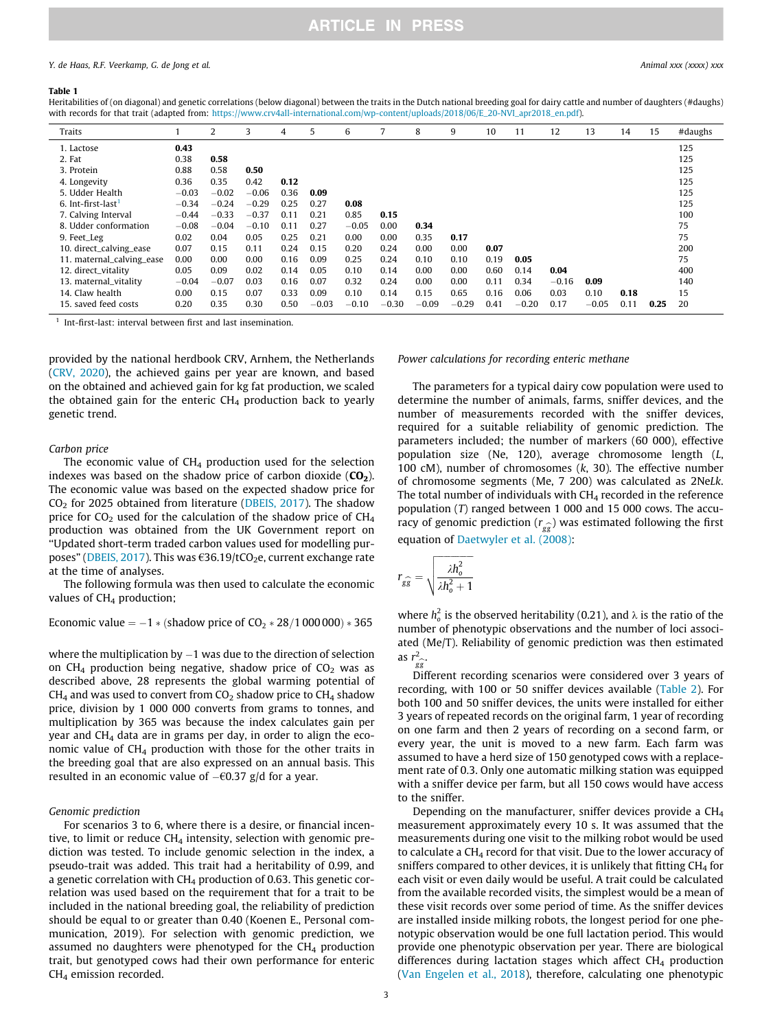#### <span id="page-2-0"></span>Y. de Haas, R.F. Veerkamp, G. de Jong et al. Animal xxx (xxxx) xxx

#### Table 1

Heritabilities of (on diagonal) and genetic correlations (below diagonal) between the traits in the Dutch national breeding goal for dairy cattle and number of daughters (#daughs) with records for that trait (adapted from: [https://www.crv4all-international.com/wp-content/uploads/2018/06/E\\_20-NVI\\_apr2018\\_en.pdf](https://www.crv4all-international.com/wp-content/uploads/2018/06/E_20-NVI_apr2018_en.pdf)).

| Traits                         |         | 2       | 3       | 4    | 5       | 6       |         | 8       | 9       | 10   | 11      | 12      | 13      | 14   | 15   | #daughs |
|--------------------------------|---------|---------|---------|------|---------|---------|---------|---------|---------|------|---------|---------|---------|------|------|---------|
| 1. Lactose                     | 0.43    |         |         |      |         |         |         |         |         |      |         |         |         |      |      | 125     |
| 2. Fat                         | 0.38    | 0.58    |         |      |         |         |         |         |         |      |         |         |         |      |      | 125     |
| 3. Protein                     | 0.88    | 0.58    | 0.50    |      |         |         |         |         |         |      |         |         |         |      |      | 125     |
| 4. Longevity                   | 0.36    | 0.35    | 0.42    | 0.12 |         |         |         |         |         |      |         |         |         |      |      | 125     |
| 5. Udder Health                | $-0.03$ | $-0.02$ | $-0.06$ | 0.36 | 0.09    |         |         |         |         |      |         |         |         |      |      | 125     |
| 6. Int-first-last <sup>1</sup> | $-0.34$ | $-0.24$ | $-0.29$ | 0.25 | 0.27    | 0.08    |         |         |         |      |         |         |         |      |      | 125     |
| 7. Calving Interval            | $-0.44$ | $-0.33$ | $-0.37$ | 0.11 | 0.21    | 0.85    | 0.15    |         |         |      |         |         |         |      |      | 100     |
| 8. Udder conformation          | $-0.08$ | $-0.04$ | $-0.10$ | 0.11 | 0.27    | $-0.05$ | 0.00    | 0.34    |         |      |         |         |         |      |      | 75      |
| 9. Feet_Leg                    | 0.02    | 0.04    | 0.05    | 0.25 | 0.21    | 0.00    | 0.00    | 0.35    | 0.17    |      |         |         |         |      |      | 75      |
| 10. direct_calving_ease        | 0.07    | 0.15    | 0.11    | 0.24 | 0.15    | 0.20    | 0.24    | 0.00    | 0.00    | 0.07 |         |         |         |      |      | 200     |
| 11. maternal_calving_ease      | 0.00    | 0.00    | 0.00    | 0.16 | 0.09    | 0.25    | 0.24    | 0.10    | 0.10    | 0.19 | 0.05    |         |         |      |      | 75      |
| 12. direct_vitality            | 0.05    | 0.09    | 0.02    | 0.14 | 0.05    | 0.10    | 0.14    | 0.00    | 0.00    | 0.60 | 0.14    | 0.04    |         |      |      | 400     |
| 13. maternal_vitality          | $-0.04$ | $-0.07$ | 0.03    | 0.16 | 0.07    | 0.32    | 0.24    | 0.00    | 0.00    | 0.11 | 0.34    | $-0.16$ | 0.09    |      |      | 140     |
| 14. Claw health                | 0.00    | 0.15    | 0.07    | 0.33 | 0.09    | 0.10    | 0.14    | 0.15    | 0.65    | 0.16 | 0.06    | 0.03    | 0.10    | 0.18 |      | 15      |
| 15. saved feed costs           | 0.20    | 0.35    | 0.30    | 0.50 | $-0.03$ | $-0.10$ | $-0.30$ | $-0.09$ | $-0.29$ | 0.41 | $-0.20$ | 0.17    | $-0.05$ | 0.11 | 0.25 | 20      |

Int-first-last: interval between first and last insemination.

provided by the national herdbook CRV, Arnhem, the Netherlands ([CRV, 2020\)](#page-8-0), the achieved gains per year are known, and based on the obtained and achieved gain for kg fat production, we scaled the obtained gain for the enteric  $CH<sub>4</sub>$  production back to yearly genetic trend.

#### Carbon price

The economic value of  $CH<sub>4</sub>$  production used for the selection indexes was based on the shadow price of carbon dioxide  $(CO<sub>2</sub>)$ . The economic value was based on the expected shadow price for  $CO<sub>2</sub>$  for 2025 obtained from literature ([DBEIS, 2017\)](#page-8-0). The shadow price for  $CO<sub>2</sub>$  used for the calculation of the shadow price of  $CH<sub>4</sub>$ production was obtained from the UK Government report on ''Updated short-term traded carbon values used for modelling pur-poses" [\(DBEIS, 2017\)](#page-8-0). This was  $\epsilon$ 36.19/tCO<sub>2</sub>e, current exchange rate at the time of analyses.

The following formula was then used to calculate the economic values of  $CH<sub>4</sub>$  production;

Economic value  $= -1 *$  (shadow price of CO<sub>2</sub>  $*$  28/1 000 000)  $*$  365

where the multiplication by  $-1$  was due to the direction of selection on CH<sub>4</sub> production being negative, shadow price of  $CO<sub>2</sub>$  was as described above, 28 represents the global warming potential of  $CH<sub>4</sub>$  and was used to convert from  $CO<sub>2</sub>$  shadow price to  $CH<sub>4</sub>$  shadow price, division by 1 000 000 converts from grams to tonnes, and multiplication by 365 was because the index calculates gain per year and  $CH<sub>4</sub>$  data are in grams per day, in order to align the economic value of CH4 production with those for the other traits in the breeding goal that are also expressed on an annual basis. This resulted in an economic value of  $-$ €0.37 g/d for a year.

#### Genomic prediction

For scenarios 3 to 6, where there is a desire, or financial incentive, to limit or reduce  $CH<sub>4</sub>$  intensity, selection with genomic prediction was tested. To include genomic selection in the index, a pseudo-trait was added. This trait had a heritability of 0.99, and a genetic correlation with  $CH<sub>4</sub>$  production of 0.63. This genetic correlation was used based on the requirement that for a trait to be included in the national breeding goal, the reliability of prediction should be equal to or greater than 0.40 (Koenen E., Personal communication, 2019). For selection with genomic prediction, we assumed no daughters were phenotyped for the  $CH<sub>4</sub>$  production trait, but genotyped cows had their own performance for enteric CH4 emission recorded.

#### Power calculations for recording enteric methane

The parameters for a typical dairy cow population were used to determine the number of animals, farms, sniffer devices, and the number of measurements recorded with the sniffer devices, required for a suitable reliability of genomic prediction. The parameters included; the number of markers (60 000), effective population size (Ne, 120), average chromosome length (L, 100 cM), number of chromosomes (k, 30). The effective number of chromosome segments (Me, 7 200) was calculated as 2NeLk. The total number of individuals with CH<sub>4</sub> recorded in the reference population (T) ranged between 1 000 and 15 000 cows. The accuracy of genomic prediction  $(r_{gg})$  was estimated following the first equation of [Daetwyler et al. \(2008\)](#page-8-0):

$$
r_{g\widehat{g}} = \sqrt{\frac{\lambda h_o^2}{\lambda h_o^2 + 1}}
$$

where  $h_o^2$  is the observed heritability (0.21), and  $\lambda$  is the ratio of the number of phenotypic observations and the number of loci associated (Me/T). Reliability of genomic prediction was then estimated as  $r_{gg}^2$ .

Different recording scenarios were considered over 3 years of recording, with 100 or 50 sniffer devices available ([Table 2](#page-3-0)). For both 100 and 50 sniffer devices, the units were installed for either 3 years of repeated records on the original farm, 1 year of recording on one farm and then 2 years of recording on a second farm, or every year, the unit is moved to a new farm. Each farm was assumed to have a herd size of 150 genotyped cows with a replacement rate of 0.3. Only one automatic milking station was equipped with a sniffer device per farm, but all 150 cows would have access to the sniffer.

Depending on the manufacturer, sniffer devices provide a CH4 measurement approximately every 10 s. It was assumed that the measurements during one visit to the milking robot would be used to calculate a  $CH<sub>4</sub>$  record for that visit. Due to the lower accuracy of sniffers compared to other devices, it is unlikely that fitting  $CH<sub>4</sub>$  for each visit or even daily would be useful. A trait could be calculated from the available recorded visits, the simplest would be a mean of these visit records over some period of time. As the sniffer devices are installed inside milking robots, the longest period for one phenotypic observation would be one full lactation period. This would provide one phenotypic observation per year. There are biological differences during lactation stages which affect  $CH<sub>4</sub>$  production ([Van Engelen et al., 2018\)](#page-9-0), therefore, calculating one phenotypic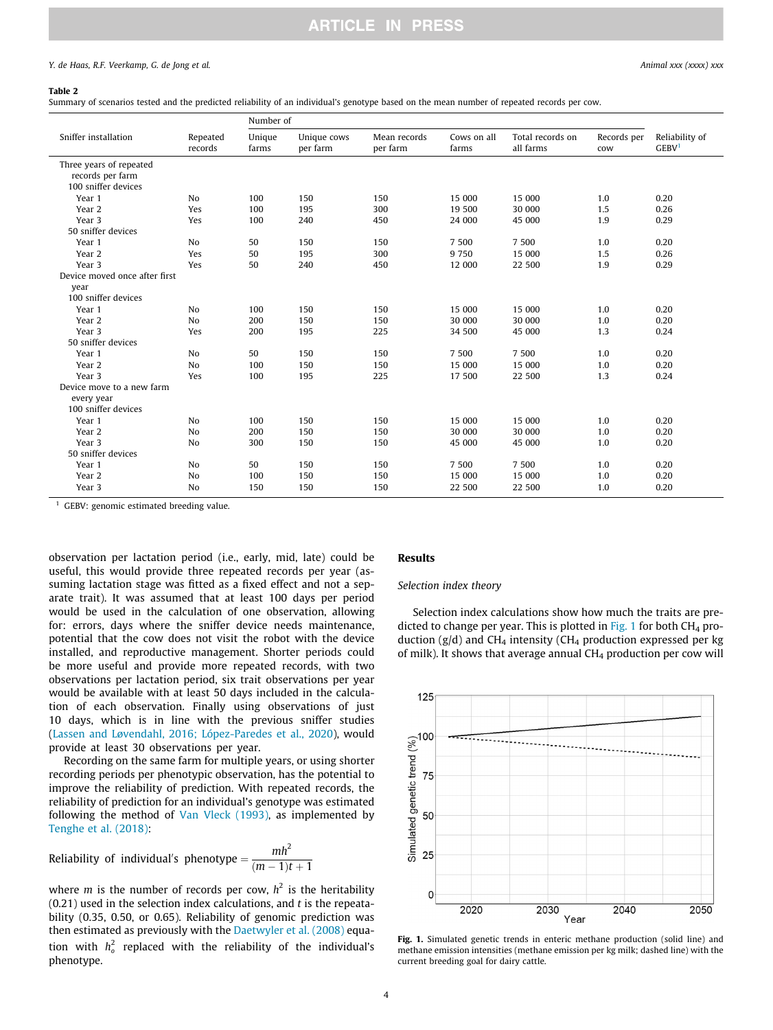### **ARTICLE IN PRESS**

#### <span id="page-3-0"></span>Y. de Haas, R.F. Veerkamp, G. de Jong et al.  $\Box$  Animal xxx (xxxx) xxx

#### Table 2

Summary of scenarios tested and the predicted reliability of an individual's genotype based on the mean number of repeated records per cow.

|                                                                    |                     | Number of       |                         |                          |                      |                               |                    |                                     |  |  |
|--------------------------------------------------------------------|---------------------|-----------------|-------------------------|--------------------------|----------------------|-------------------------------|--------------------|-------------------------------------|--|--|
| Sniffer installation                                               | Repeated<br>records | Unique<br>farms | Unique cows<br>per farm | Mean records<br>per farm | Cows on all<br>farms | Total records on<br>all farms | Records per<br>cow | Reliability of<br>GEBV <sup>1</sup> |  |  |
| Three years of repeated<br>records per farm<br>100 sniffer devices |                     |                 |                         |                          |                      |                               |                    |                                     |  |  |
| Year 1                                                             | N <sub>o</sub>      | 100             | 150                     | 150                      | 15 000               | 15 000                        | 1.0                | 0.20                                |  |  |
| Year 2                                                             | Yes                 | 100             | 195                     | 300                      | 19 500               | 30 000                        | 1.5                | 0.26                                |  |  |
| Year 3                                                             | Yes                 | 100             | 240                     | 450                      | 24 000               | 45 000                        | 1.9                | 0.29                                |  |  |
| 50 sniffer devices                                                 |                     |                 |                         |                          |                      |                               |                    |                                     |  |  |
| Year 1                                                             | N <sub>o</sub>      | 50              | 150                     | 150                      | 7 500                | 7 500                         | 1.0                | 0.20                                |  |  |
| Year 2                                                             | Yes                 | 50              | 195                     | 300                      | 9 7 5 0              | 15 000                        | 1.5                | 0.26                                |  |  |
| Year 3                                                             | Yes                 | 50              | 240                     | 450                      | 12 000               | 22 500                        | 1.9                | 0.29                                |  |  |
| Device moved once after first                                      |                     |                 |                         |                          |                      |                               |                    |                                     |  |  |
| year<br>100 sniffer devices                                        |                     |                 |                         |                          |                      |                               |                    |                                     |  |  |
| Year 1                                                             | N <sub>o</sub>      | 100             | 150                     | 150                      | 15 000               | 15 000                        | 1.0                | 0.20                                |  |  |
| Year 2                                                             | N <sub>o</sub>      | 200             | 150                     | 150                      | 30 000               | 30 000                        | 1.0                | 0.20                                |  |  |
| Year 3                                                             | Yes                 | 200             | 195                     | 225                      | 34 500               | 45 000                        | 1.3                | 0.24                                |  |  |
| 50 sniffer devices                                                 |                     |                 |                         |                          |                      |                               |                    |                                     |  |  |
| Year 1                                                             | N <sub>o</sub>      | 50              | 150                     | 150                      | 7 500                | 7 500                         | 1.0                | 0.20                                |  |  |
| Year 2                                                             | N <sub>o</sub>      | 100             | 150                     | 150                      | 15 000               | 15 000                        | 1.0                | 0.20                                |  |  |
| Year 3                                                             | Yes                 | 100             | 195                     | 225                      | 17 500               | 22 500                        | 1.3                | 0.24                                |  |  |
| Device move to a new farm                                          |                     |                 |                         |                          |                      |                               |                    |                                     |  |  |
| every year<br>100 sniffer devices                                  |                     |                 |                         |                          |                      |                               |                    |                                     |  |  |
| Year 1                                                             | N <sub>o</sub>      | 100             | 150                     | 150                      | 15 000               | 15 000                        | 1.0                | 0.20                                |  |  |
| Year 2                                                             | N <sub>o</sub>      | 200             | 150                     | 150                      | 30 000               | 30 000                        | 1.0                | 0.20                                |  |  |
| Year 3                                                             | <b>No</b>           | 300             | 150                     | 150                      | 45 000               | 45 000                        | 1.0                | 0.20                                |  |  |
| 50 sniffer devices                                                 |                     |                 |                         |                          |                      |                               |                    |                                     |  |  |
| Year 1                                                             | No                  | 50              | 150                     | 150                      | 7 500                | 7 500                         | 1.0                | 0.20                                |  |  |
| Year 2                                                             | <b>No</b>           | 100             | 150                     | 150                      | 15 000               | 15 000                        | 1.0                | 0.20                                |  |  |
| Year 3                                                             | N <sub>o</sub>      | 150             | 150                     | 150                      | 22 500               | 22 500                        | 1.0                | 0.20                                |  |  |

<sup>1</sup> GEBV: genomic estimated breeding value.

observation per lactation period (i.e., early, mid, late) could be useful, this would provide three repeated records per year (assuming lactation stage was fitted as a fixed effect and not a separate trait). It was assumed that at least 100 days per period would be used in the calculation of one observation, allowing for: errors, days where the sniffer device needs maintenance, potential that the cow does not visit the robot with the device installed, and reproductive management. Shorter periods could be more useful and provide more repeated records, with two observations per lactation period, six trait observations per year would be available with at least 50 days included in the calculation of each observation. Finally using observations of just 10 days, which is in line with the previous sniffer studies ([Lassen and L](#page-8-0)ø[vendahl, 2016; López-Paredes et al., 2020\)](#page-8-0), would provide at least 30 observations per year.

Recording on the same farm for multiple years, or using shorter recording periods per phenotypic observation, has the potential to improve the reliability of prediction. With repeated records, the reliability of prediction for an individual's genotype was estimated following the method of [Van Vleck \(1993\),](#page-9-0) as implemented by [Tenghe et al. \(2018\):](#page-8-0)

Reliability of individual's phenotype  $=$   $\frac{mh^2}{(m-1)t+1}$ 

where *m* is the number of records per cow,  $h^2$  is the heritability  $(0.21)$  used in the selection index calculations, and t is the repeatability (0.35, 0.50, or 0.65). Reliability of genomic prediction was then estimated as previously with the [Daetwyler et al. \(2008\)](#page-8-0) equation with  $h_o^2$  replaced with the reliability of the individual's phenotype.

#### Results

#### Selection index theory

Selection index calculations show how much the traits are predicted to change per year. This is plotted in Fig. 1 for both  $CH<sub>4</sub>$  production ( $g/d$ ) and CH<sub>4</sub> intensity (CH<sub>4</sub> production expressed per kg of milk). It shows that average annual  $CH<sub>4</sub>$  production per cow will



Fig. 1. Simulated genetic trends in enteric methane production (solid line) and methane emission intensities (methane emission per kg milk; dashed line) with the current breeding goal for dairy cattle.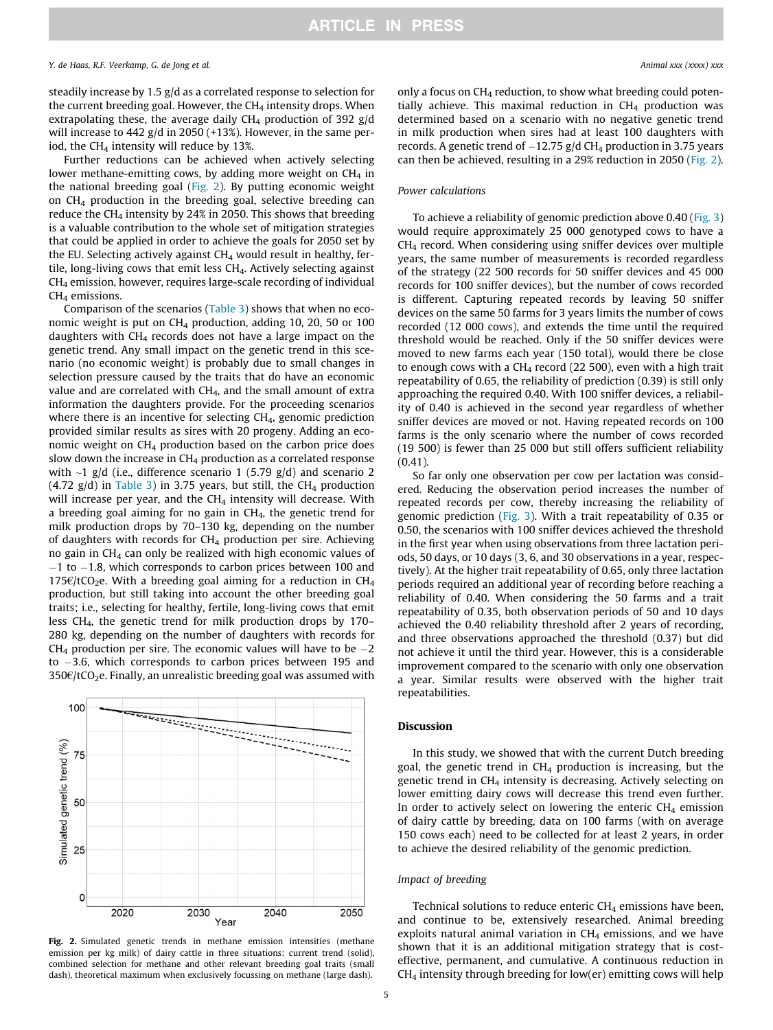steadily increase by 1.5 g/d as a correlated response to selection for the current breeding goal. However, the  $CH<sub>4</sub>$  intensity drops. When extrapolating these, the average daily  $CH<sub>4</sub>$  production of 392 g/d will increase to 442 g/d in 2050 (+13%). However, in the same period, the CH<sub>4</sub> intensity will reduce by 13%.

Further reductions can be achieved when actively selecting lower methane-emitting cows, by adding more weight on  $CH<sub>4</sub>$  in the national breeding goal (Fig. 2). By putting economic weight on  $CH<sub>4</sub>$  production in the breeding goal, selective breeding can reduce the CH<sub>4</sub> intensity by 24% in 2050. This shows that breeding is a valuable contribution to the whole set of mitigation strategies that could be applied in order to achieve the goals for 2050 set by the EU. Selecting actively against  $CH<sub>4</sub>$  would result in healthy, fertile, long-living cows that emit less CH4. Actively selecting against CH4 emission, however, requires large-scale recording of individual  $CH<sub>4</sub>$  emissions.

Comparison of the scenarios [\(Table 3\)](#page-5-0) shows that when no economic weight is put on  $CH<sub>4</sub>$  production, adding 10, 20, 50 or 100 daughters with  $CH<sub>4</sub>$  records does not have a large impact on the genetic trend. Any small impact on the genetic trend in this scenario (no economic weight) is probably due to small changes in selection pressure caused by the traits that do have an economic value and are correlated with CH4, and the small amount of extra information the daughters provide. For the proceeding scenarios where there is an incentive for selecting  $CH<sub>4</sub>$ , genomic prediction provided similar results as sires with 20 progeny. Adding an economic weight on  $CH_4$  production based on the carbon price does slow down the increase in  $CH<sub>4</sub>$  production as a correlated response with  $\sim$ 1 g/d (i.e., difference scenario 1 (5.79 g/d) and scenario 2  $(4.72 \text{ g/d})$  in [Table 3](#page-5-0)) in 3.75 years, but still, the CH<sub>4</sub> production will increase per year, and the  $CH<sub>4</sub>$  intensity will decrease. With a breeding goal aiming for no gain in CH4, the genetic trend for milk production drops by 70–130 kg, depending on the number of daughters with records for  $CH<sub>4</sub>$  production per sire. Achieving no gain in  $CH<sub>4</sub>$  can only be realized with high economic values of -1 to -1.8, which corresponds to carbon prices between 100 and 175 $\epsilon$ /tCO<sub>2</sub>e. With a breeding goal aiming for a reduction in CH<sub>4</sub> production, but still taking into account the other breeding goal traits; i.e., selecting for healthy, fertile, long-living cows that emit less CH4, the genetic trend for milk production drops by 170– 280 kg, depending on the number of daughters with records for  $CH_4$  production per sire. The economic values will have to be  $-2$ to -3.6, which corresponds to carbon prices between 195 and  $350\epsilon$ /tCO<sub>2</sub>e. Finally, an unrealistic breeding goal was assumed with



Fig. 2. Simulated genetic trends in methane emission intensities (methane emission per kg milk) of dairy cattle in three situations: current trend (solid), combined selection for methane and other relevant breeding goal traits (small dash), theoretical maximum when exclusively focussing on methane (large dash).

only a focus on  $CH_4$  reduction, to show what breeding could potentially achieve. This maximal reduction in  $CH<sub>4</sub>$  production was determined based on a scenario with no negative genetic trend in milk production when sires had at least 100 daughters with records. A genetic trend of  $-12.75$  g/d CH<sub>4</sub> production in 3.75 years can then be achieved, resulting in a 29% reduction in 2050 (Fig. 2).

#### Power calculations

To achieve a reliability of genomic prediction above 0.40 ([Fig. 3\)](#page-5-0) would require approximately 25 000 genotyped cows to have a CH4 record. When considering using sniffer devices over multiple years, the same number of measurements is recorded regardless of the strategy (22 500 records for 50 sniffer devices and 45 000 records for 100 sniffer devices), but the number of cows recorded is different. Capturing repeated records by leaving 50 sniffer devices on the same 50 farms for 3 years limits the number of cows recorded (12 000 cows), and extends the time until the required threshold would be reached. Only if the 50 sniffer devices were moved to new farms each year (150 total), would there be close to enough cows with a  $CH_4$  record (22 500), even with a high trait repeatability of 0.65, the reliability of prediction (0.39) is still only approaching the required 0.40. With 100 sniffer devices, a reliability of 0.40 is achieved in the second year regardless of whether sniffer devices are moved or not. Having repeated records on 100 farms is the only scenario where the number of cows recorded (19 500) is fewer than 25 000 but still offers sufficient reliability  $(0.41)$ .

So far only one observation per cow per lactation was considered. Reducing the observation period increases the number of repeated records per cow, thereby increasing the reliability of genomic prediction ([Fig. 3\)](#page-5-0). With a trait repeatability of 0.35 or 0.50, the scenarios with 100 sniffer devices achieved the threshold in the first year when using observations from three lactation periods, 50 days, or 10 days (3, 6, and 30 observations in a year, respectively). At the higher trait repeatability of 0.65, only three lactation periods required an additional year of recording before reaching a reliability of 0.40. When considering the 50 farms and a trait repeatability of 0.35, both observation periods of 50 and 10 days achieved the 0.40 reliability threshold after 2 years of recording, and three observations approached the threshold (0.37) but did not achieve it until the third year. However, this is a considerable improvement compared to the scenario with only one observation a year. Similar results were observed with the higher trait repeatabilities.

#### Discussion

In this study, we showed that with the current Dutch breeding goal, the genetic trend in  $CH<sub>4</sub>$  production is increasing, but the genetic trend in CH4 intensity is decreasing. Actively selecting on lower emitting dairy cows will decrease this trend even further. In order to actively select on lowering the enteric  $CH<sub>4</sub>$  emission of dairy cattle by breeding, data on 100 farms (with on average 150 cows each) need to be collected for at least 2 years, in order to achieve the desired reliability of the genomic prediction.

#### Impact of breeding

Technical solutions to reduce enteric  $CH<sub>4</sub>$  emissions have been, and continue to be, extensively researched. Animal breeding exploits natural animal variation in  $CH<sub>4</sub>$  emissions, and we have shown that it is an additional mitigation strategy that is costeffective, permanent, and cumulative. A continuous reduction in  $CH<sub>4</sub>$  intensity through breeding for low(er) emitting cows will help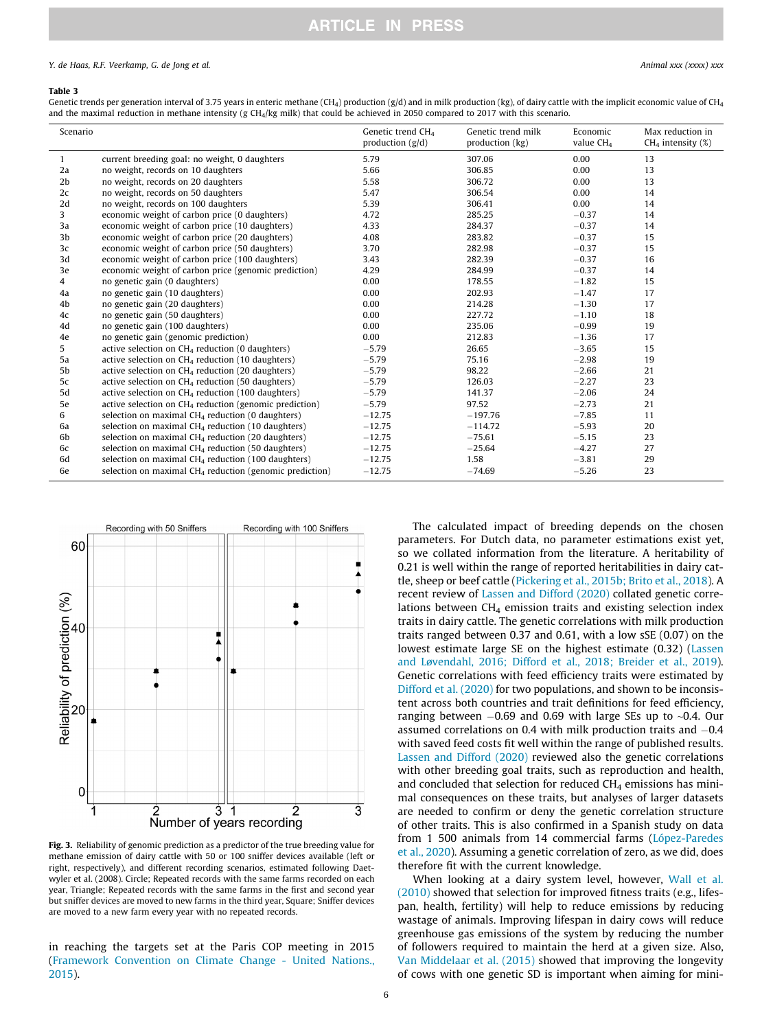### **ARTICLE IN PRESS**

#### <span id="page-5-0"></span>Y. de Haas, R.F. Veerkamp, G. de Jong et al. Animal xxx (xxxx) xxx

#### Table 3

Genetic trends per generation interval of 3.75 years in enteric methane (CH<sub>4</sub>) production  $(g/d)$  and in milk production (kg), of dairy cattle with the implicit economic value of CH<sub>4</sub> and the maximal reduction in methane intensity (g CH<sub>4</sub>/kg milk) that could be achieved in 2050 compared to 2017 with this scenario.

| Scenario       |                                                           | Genetic trend CH <sub>4</sub><br>production $(g/d)$ | Genetic trend milk<br>production (kg) | Economic<br>value $CH4$ | Max reduction in<br>$CH4$ intensity (%) |
|----------------|-----------------------------------------------------------|-----------------------------------------------------|---------------------------------------|-------------------------|-----------------------------------------|
| $\mathbf{1}$   | current breeding goal: no weight, 0 daughters             | 5.79                                                | 307.06                                | 0.00                    | 13                                      |
| 2a             | no weight, records on 10 daughters                        | 5.66                                                | 306.85                                | 0.00                    | 13                                      |
| 2 <sub>b</sub> | no weight, records on 20 daughters                        | 5.58                                                | 306.72                                | 0.00                    | 13                                      |
| 2c             | no weight, records on 50 daughters                        | 5.47                                                | 306.54                                | 0.00                    | 14                                      |
| 2d             | no weight, records on 100 daughters                       | 5.39                                                | 306.41                                | 0.00                    | 14                                      |
| 3              | economic weight of carbon price (0 daughters)             | 4.72                                                | 285.25                                | $-0.37$                 | 14                                      |
| 3a             | economic weight of carbon price (10 daughters)            | 4.33                                                | 284.37                                | $-0.37$                 | 14                                      |
| 3b             | economic weight of carbon price (20 daughters)            | 4.08                                                | 283.82                                | $-0.37$                 | 15                                      |
| 3c             | economic weight of carbon price (50 daughters)            | 3.70                                                | 282.98                                | $-0.37$                 | 15                                      |
| 3d             | economic weight of carbon price (100 daughters)           | 3.43                                                | 282.39                                | $-0.37$                 | 16                                      |
| 3e             | economic weight of carbon price (genomic prediction)      | 4.29                                                | 284.99                                | $-0.37$                 | 14                                      |
| 4              | no genetic gain (0 daughters)                             | 0.00                                                | 178.55                                | $-1.82$                 | 15                                      |
| 4a             | no genetic gain (10 daughters)                            | 0.00                                                | 202.93                                | $-1.47$                 | 17                                      |
| 4b             | no genetic gain (20 daughters)                            | 0.00                                                | 214.28                                | $-1.30$                 | 17                                      |
| 4c             | no genetic gain (50 daughters)                            | 0.00                                                | 227.72                                | $-1.10$                 | 18                                      |
| 4d             | no genetic gain (100 daughters)                           | 0.00                                                | 235.06                                | $-0.99$                 | 19                                      |
| 4e             | no genetic gain (genomic prediction)                      | 0.00                                                | 212.83                                | $-1.36$                 | 17                                      |
| 5              | active selection on $CH4$ reduction (0 daughters)         | $-5.79$                                             | 26.65                                 | $-3.65$                 | 15                                      |
| 5a             | active selection on $CH4$ reduction (10 daughters)        | $-5.79$                                             | 75.16                                 | $-2.98$                 | 19                                      |
| 5b             | active selection on $CH4$ reduction (20 daughters)        | $-5.79$                                             | 98.22                                 | $-2.66$                 | 21                                      |
| 5c             | active selection on $CH4$ reduction (50 daughters)        | $-5.79$                                             | 126.03                                | $-2.27$                 | 23                                      |
| 5d             | active selection on $CH4$ reduction (100 daughters)       | $-5.79$                                             | 141.37                                | $-2.06$                 | 24                                      |
| 5e             | active selection on $CH4$ reduction (genomic prediction)  | $-5.79$                                             | 97.52                                 | $-2.73$                 | 21                                      |
| 6              | selection on maximal $CH4$ reduction (0 daughters)        | $-12.75$                                            | $-197.76$                             | $-7.85$                 | 11                                      |
| 6a             | selection on maximal $CH4$ reduction (10 daughters)       | $-12.75$                                            | $-114.72$                             | $-5.93$                 | 20                                      |
| 6b             | selection on maximal $CH4$ reduction (20 daughters)       | $-12.75$                                            | $-75.61$                              | $-5.15$                 | 23                                      |
| 6c             | selection on maximal $CH4$ reduction (50 daughters)       | $-12.75$                                            | $-25.64$                              | $-4.27$                 | 27                                      |
| 6d             | selection on maximal $CH4$ reduction (100 daughters)      | $-12.75$                                            | 1.58                                  | $-3.81$                 | 29                                      |
| 6e             | selection on maximal $CH4$ reduction (genomic prediction) | $-12.75$                                            | $-74.69$                              | $-5.26$                 | 23                                      |



Fig. 3. Reliability of genomic prediction as a predictor of the true breeding value for methane emission of dairy cattle with 50 or 100 sniffer devices available (left or right, respectively), and different recording scenarios, estimated following Daetwyler et al. (2008). Circle; Repeated records with the same farms recorded on each year, Triangle; Repeated records with the same farms in the first and second year but sniffer devices are moved to new farms in the third year, Square; Sniffer devices are moved to a new farm every year with no repeated records.

in reaching the targets set at the Paris COP meeting in 2015 ([Framework Convention on Climate Change - United Nations.,](#page-8-0) [2015\)](#page-8-0).

The calculated impact of breeding depends on the chosen parameters. For Dutch data, no parameter estimations exist yet, so we collated information from the literature. A heritability of 0.21 is well within the range of reported heritabilities in dairy cattle, sheep or beef cattle ([Pickering et al., 2015b; Brito et al., 2018](#page-8-0)). A recent review of [Lassen and Difford \(2020\)](#page-8-0) collated genetic correlations between  $CH<sub>4</sub>$  emission traits and existing selection index traits in dairy cattle. The genetic correlations with milk production traits ranged between 0.37 and 0.61, with a low sSE (0.07) on the lowest estimate large SE on the highest estimate (0.32) ([Lassen](#page-8-0) [and Løvendahl, 2016; Difford et al., 2018; Breider et al., 2019\)](#page-8-0). Genetic correlations with feed efficiency traits were estimated by [Difford et al. \(2020\)](#page-8-0) for two populations, and shown to be inconsistent across both countries and trait definitions for feed efficiency, ranging between  $-0.69$  and 0.69 with large SEs up to  $\sim$ 0.4. Our assumed correlations on 0.4 with milk production traits and  $-0.4$ with saved feed costs fit well within the range of published results. [Lassen and Difford \(2020\)](#page-8-0) reviewed also the genetic correlations with other breeding goal traits, such as reproduction and health, and concluded that selection for reduced  $CH<sub>4</sub>$  emissions has minimal consequences on these traits, but analyses of larger datasets are needed to confirm or deny the genetic correlation structure of other traits. This is also confirmed in a Spanish study on data from 1 500 animals from 14 commercial farms [\(López-Paredes](#page-8-0) [et al., 2020](#page-8-0)). Assuming a genetic correlation of zero, as we did, does therefore fit with the current knowledge.

When looking at a dairy system level, however, [Wall et al.](#page-9-0) [\(2010\)](#page-9-0) showed that selection for improved fitness traits (e.g., lifespan, health, fertility) will help to reduce emissions by reducing wastage of animals. Improving lifespan in dairy cows will reduce greenhouse gas emissions of the system by reducing the number of followers required to maintain the herd at a given size. Also, [Van Middelaar et al. \(2015\)](#page-9-0) showed that improving the longevity of cows with one genetic SD is important when aiming for mini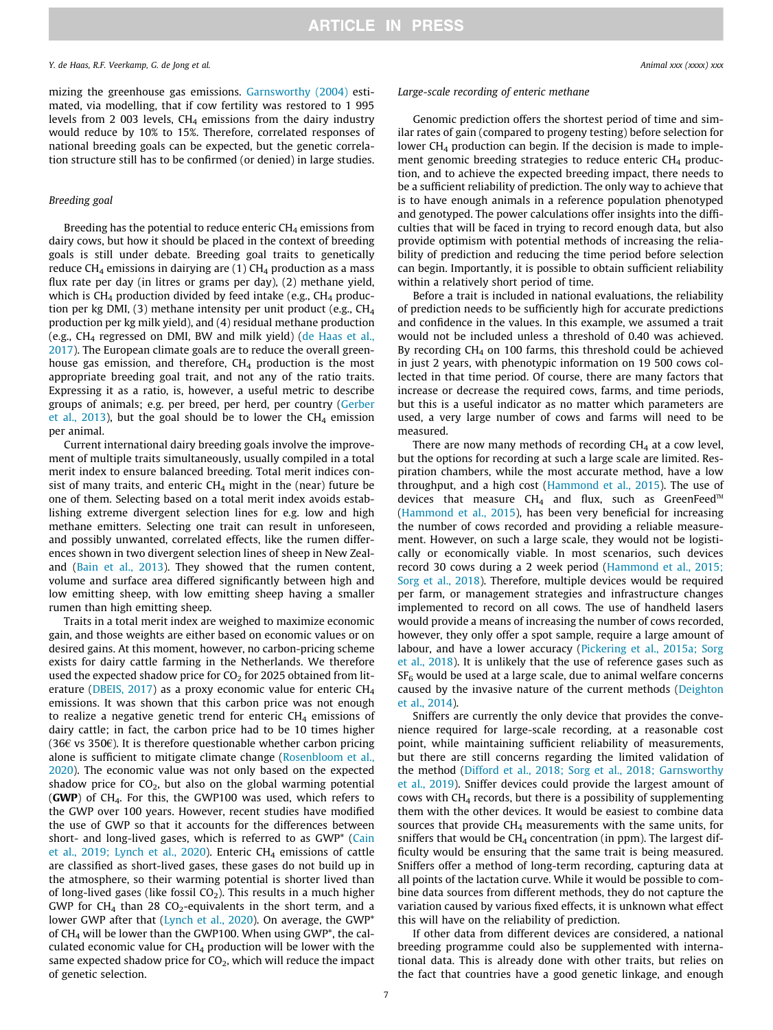mizing the greenhouse gas emissions. [Garnsworthy \(2004\)](#page-8-0) estimated, via modelling, that if cow fertility was restored to 1 995 levels from 2 003 levels,  $CH<sub>4</sub>$  emissions from the dairy industry would reduce by 10% to 15%. Therefore, correlated responses of national breeding goals can be expected, but the genetic correlation structure still has to be confirmed (or denied) in large studies.

#### Breeding goal

Breeding has the potential to reduce enteric  $CH<sub>4</sub>$  emissions from dairy cows, but how it should be placed in the context of breeding goals is still under debate. Breeding goal traits to genetically reduce CH<sub>4</sub> emissions in dairying are (1) CH<sub>4</sub> production as a mass flux rate per day (in litres or grams per day), (2) methane yield, which is  $CH_4$  production divided by feed intake (e.g.,  $CH_4$  production per kg DMI, (3) methane intensity per unit product (e.g.,  $CH<sub>4</sub>$ production per kg milk yield), and (4) residual methane production (e.g., CH4 regressed on DMI, BW and milk yield) [\(de Haas et al.,](#page-8-0) [2017\)](#page-8-0). The European climate goals are to reduce the overall greenhouse gas emission, and therefore,  $CH<sub>4</sub>$  production is the most appropriate breeding goal trait, and not any of the ratio traits. Expressing it as a ratio, is, however, a useful metric to describe groups of animals; e.g. per breed, per herd, per country ([Gerber](#page-8-0) [et al., 2013\)](#page-8-0), but the goal should be to lower the  $CH<sub>4</sub>$  emission per animal.

Current international dairy breeding goals involve the improvement of multiple traits simultaneously, usually compiled in a total merit index to ensure balanced breeding. Total merit indices consist of many traits, and enteric  $CH<sub>4</sub>$  might in the (near) future be one of them. Selecting based on a total merit index avoids establishing extreme divergent selection lines for e.g. low and high methane emitters. Selecting one trait can result in unforeseen, and possibly unwanted, correlated effects, like the rumen differences shown in two divergent selection lines of sheep in New Zealand [\(Bain et al., 2013](#page-8-0)). They showed that the rumen content, volume and surface area differed significantly between high and low emitting sheep, with low emitting sheep having a smaller rumen than high emitting sheep.

Traits in a total merit index are weighed to maximize economic gain, and those weights are either based on economic values or on desired gains. At this moment, however, no carbon-pricing scheme exists for dairy cattle farming in the Netherlands. We therefore used the expected shadow price for  $CO<sub>2</sub>$  for 2025 obtained from lit-erature [\(DBEIS, 2017\)](#page-8-0) as a proxy economic value for enteric  $CH<sub>4</sub>$ emissions. It was shown that this carbon price was not enough to realize a negative genetic trend for enteric  $CH<sub>4</sub>$  emissions of dairy cattle; in fact, the carbon price had to be 10 times higher (36 $\epsilon$  vs 350 $\epsilon$ ). It is therefore questionable whether carbon pricing alone is sufficient to mitigate climate change [\(Rosenbloom et al.,](#page-8-0) [2020](#page-8-0)). The economic value was not only based on the expected shadow price for  $CO<sub>2</sub>$ , but also on the global warming potential (GWP) of CH4. For this, the GWP100 was used, which refers to the GWP over 100 years. However, recent studies have modified the use of GWP so that it accounts for the differences between short- and long-lived gases, which is referred to as GWP\* [\(Cain](#page-8-0) [et al., 2019; Lynch et al., 2020\)](#page-8-0). Enteric  $CH_4$  emissions of cattle are classified as short-lived gases, these gases do not build up in the atmosphere, so their warming potential is shorter lived than of long-lived gases (like fossil  $CO<sub>2</sub>$ ). This results in a much higher GWP for CH<sub>4</sub> than 28 CO<sub>2</sub>-equivalents in the short term, and a lower GWP after that [\(Lynch et al., 2020\)](#page-8-0). On average, the GWP<sup>\*</sup> of CH4 will be lower than the GWP100. When using GWP\*, the calculated economic value for  $CH_4$  production will be lower with the same expected shadow price for  $CO<sub>2</sub>$ , which will reduce the impact of genetic selection.

#### Large-scale recording of enteric methane

Genomic prediction offers the shortest period of time and similar rates of gain (compared to progeny testing) before selection for lower  $CH_4$  production can begin. If the decision is made to implement genomic breeding strategies to reduce enteric  $CH<sub>4</sub>$  production, and to achieve the expected breeding impact, there needs to be a sufficient reliability of prediction. The only way to achieve that is to have enough animals in a reference population phenotyped and genotyped. The power calculations offer insights into the difficulties that will be faced in trying to record enough data, but also provide optimism with potential methods of increasing the reliability of prediction and reducing the time period before selection can begin. Importantly, it is possible to obtain sufficient reliability within a relatively short period of time.

Before a trait is included in national evaluations, the reliability of prediction needs to be sufficiently high for accurate predictions and confidence in the values. In this example, we assumed a trait would not be included unless a threshold of 0.40 was achieved. By recording  $CH<sub>4</sub>$  on 100 farms, this threshold could be achieved in just 2 years, with phenotypic information on 19 500 cows collected in that time period. Of course, there are many factors that increase or decrease the required cows, farms, and time periods, but this is a useful indicator as no matter which parameters are used, a very large number of cows and farms will need to be measured.

There are now many methods of recording  $CH<sub>4</sub>$  at a cow level, but the options for recording at such a large scale are limited. Respiration chambers, while the most accurate method, have a low throughput, and a high cost ([Hammond et al., 2015\)](#page-8-0). The use of devices that measure CH<sub>4</sub> and flux, such as GreenFeed<sup>™</sup> ([Hammond et al., 2015](#page-8-0)), has been very beneficial for increasing the number of cows recorded and providing a reliable measurement. However, on such a large scale, they would not be logistically or economically viable. In most scenarios, such devices record 30 cows during a 2 week period ([Hammond et al., 2015;](#page-8-0) [Sorg et al., 2018\)](#page-8-0). Therefore, multiple devices would be required per farm, or management strategies and infrastructure changes implemented to record on all cows. The use of handheld lasers would provide a means of increasing the number of cows recorded, however, they only offer a spot sample, require a large amount of labour, and have a lower accuracy ([Pickering et al., 2015a; Sorg](#page-8-0) [et al., 2018](#page-8-0)). It is unlikely that the use of reference gases such as  $SF<sub>6</sub>$  would be used at a large scale, due to animal welfare concerns caused by the invasive nature of the current methods [\(Deighton](#page-8-0) [et al., 2014\)](#page-8-0).

Sniffers are currently the only device that provides the convenience required for large-scale recording, at a reasonable cost point, while maintaining sufficient reliability of measurements, but there are still concerns regarding the limited validation of the method [\(Difford et al., 2018; Sorg et al., 2018; Garnsworthy](#page-8-0) [et al., 2019](#page-8-0)). Sniffer devices could provide the largest amount of cows with  $CH<sub>4</sub>$  records, but there is a possibility of supplementing them with the other devices. It would be easiest to combine data sources that provide CH<sub>4</sub> measurements with the same units, for sniffers that would be  $CH_4$  concentration (in ppm). The largest difficulty would be ensuring that the same trait is being measured. Sniffers offer a method of long-term recording, capturing data at all points of the lactation curve. While it would be possible to combine data sources from different methods, they do not capture the variation caused by various fixed effects, it is unknown what effect this will have on the reliability of prediction.

If other data from different devices are considered, a national breeding programme could also be supplemented with international data. This is already done with other traits, but relies on the fact that countries have a good genetic linkage, and enough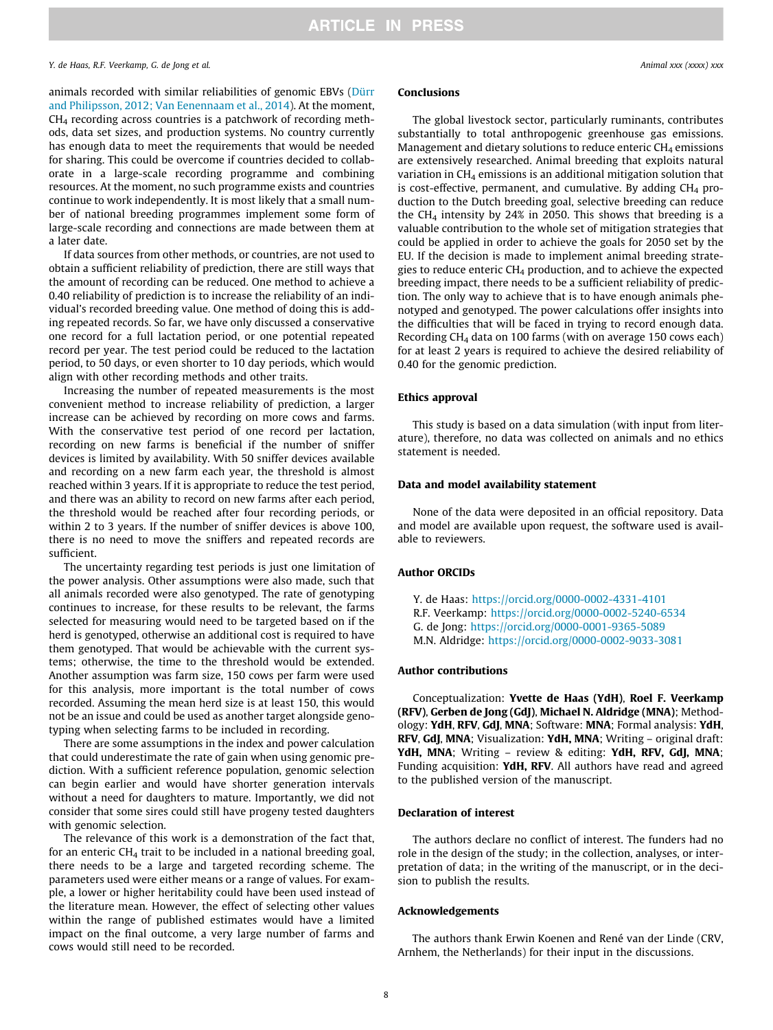#### Y. de Haas, R.F. Veerkamp, G. de Jong et al. Animal xxx (xxxx) xxx

animals recorded with similar reliabilities of genomic EBVs [\(Dürr](#page-8-0) [and Philipsson, 2012; Van Eenennaam et al., 2014](#page-8-0)). At the moment, CH4 recording across countries is a patchwork of recording methods, data set sizes, and production systems. No country currently has enough data to meet the requirements that would be needed for sharing. This could be overcome if countries decided to collaborate in a large-scale recording programme and combining resources. At the moment, no such programme exists and countries continue to work independently. It is most likely that a small number of national breeding programmes implement some form of large-scale recording and connections are made between them at a later date.

If data sources from other methods, or countries, are not used to obtain a sufficient reliability of prediction, there are still ways that the amount of recording can be reduced. One method to achieve a 0.40 reliability of prediction is to increase the reliability of an individual's recorded breeding value. One method of doing this is adding repeated records. So far, we have only discussed a conservative one record for a full lactation period, or one potential repeated record per year. The test period could be reduced to the lactation period, to 50 days, or even shorter to 10 day periods, which would align with other recording methods and other traits.

Increasing the number of repeated measurements is the most convenient method to increase reliability of prediction, a larger increase can be achieved by recording on more cows and farms. With the conservative test period of one record per lactation, recording on new farms is beneficial if the number of sniffer devices is limited by availability. With 50 sniffer devices available and recording on a new farm each year, the threshold is almost reached within 3 years. If it is appropriate to reduce the test period, and there was an ability to record on new farms after each period, the threshold would be reached after four recording periods, or within 2 to 3 years. If the number of sniffer devices is above 100, there is no need to move the sniffers and repeated records are sufficient.

The uncertainty regarding test periods is just one limitation of the power analysis. Other assumptions were also made, such that all animals recorded were also genotyped. The rate of genotyping continues to increase, for these results to be relevant, the farms selected for measuring would need to be targeted based on if the herd is genotyped, otherwise an additional cost is required to have them genotyped. That would be achievable with the current systems; otherwise, the time to the threshold would be extended. Another assumption was farm size, 150 cows per farm were used for this analysis, more important is the total number of cows recorded. Assuming the mean herd size is at least 150, this would not be an issue and could be used as another target alongside genotyping when selecting farms to be included in recording.

There are some assumptions in the index and power calculation that could underestimate the rate of gain when using genomic prediction. With a sufficient reference population, genomic selection can begin earlier and would have shorter generation intervals without a need for daughters to mature. Importantly, we did not consider that some sires could still have progeny tested daughters with genomic selection.

The relevance of this work is a demonstration of the fact that, for an enteric  $CH<sub>4</sub>$  trait to be included in a national breeding goal, there needs to be a large and targeted recording scheme. The parameters used were either means or a range of values. For example, a lower or higher heritability could have been used instead of the literature mean. However, the effect of selecting other values within the range of published estimates would have a limited impact on the final outcome, a very large number of farms and cows would still need to be recorded.

### Conclusions

The global livestock sector, particularly ruminants, contributes substantially to total anthropogenic greenhouse gas emissions. Management and dietary solutions to reduce enteric  $CH<sub>4</sub>$  emissions are extensively researched. Animal breeding that exploits natural variation in  $CH<sub>4</sub>$  emissions is an additional mitigation solution that is cost-effective, permanent, and cumulative. By adding  $CH<sub>4</sub>$  production to the Dutch breeding goal, selective breeding can reduce the CH<sub>4</sub> intensity by 24% in 2050. This shows that breeding is a valuable contribution to the whole set of mitigation strategies that could be applied in order to achieve the goals for 2050 set by the EU. If the decision is made to implement animal breeding strategies to reduce enteric  $CH_4$  production, and to achieve the expected breeding impact, there needs to be a sufficient reliability of prediction. The only way to achieve that is to have enough animals phenotyped and genotyped. The power calculations offer insights into the difficulties that will be faced in trying to record enough data. Recording CH<sub>4</sub> data on 100 farms (with on average 150 cows each) for at least 2 years is required to achieve the desired reliability of 0.40 for the genomic prediction.

#### Ethics approval

This study is based on a data simulation (with input from literature), therefore, no data was collected on animals and no ethics statement is needed.

#### Data and model availability statement

None of the data were deposited in an official repository. Data and model are available upon request, the software used is available to reviewers.

#### Author ORCIDs

Y. de Haas: <https://orcid.org/0000-0002-4331-4101> R.F. Veerkamp: <https://orcid.org/0000-0002-5240-6534> G. de Jong: <https://orcid.org/0000-0001-9365-5089> M.N. Aldridge: <https://orcid.org/0000-0002-9033-3081>

#### Author contributions

Conceptualization: Yvette de Haas (YdH), Roel F. Veerkamp (RFV), Gerben de Jong (GdJ), Michael N. Aldridge (MNA); Methodology: YdH, RFV, GdJ, MNA; Software: MNA; Formal analysis: YdH, RFV, GdJ, MNA; Visualization: YdH, MNA; Writing – original draft: YdH, MNA; Writing - review & editing: YdH, RFV, GdJ, MNA; Funding acquisition: YdH, RFV. All authors have read and agreed to the published version of the manuscript.

#### Declaration of interest

The authors declare no conflict of interest. The funders had no role in the design of the study; in the collection, analyses, or interpretation of data; in the writing of the manuscript, or in the decision to publish the results.

#### Acknowledgements

The authors thank Erwin Koenen and René van der Linde (CRV, Arnhem, the Netherlands) for their input in the discussions.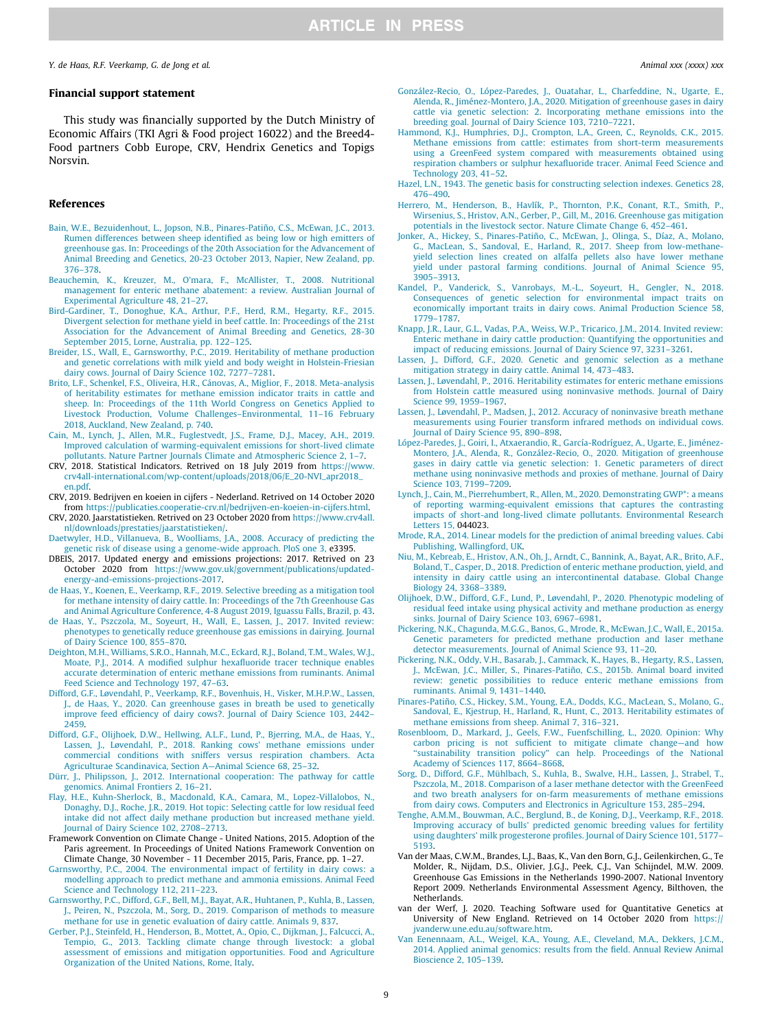### <span id="page-8-0"></span>Financial support statement

This study was financially supported by the Dutch Ministry of Economic Affairs (TKI Agri & Food project 16022) and the Breed4- Food partners Cobb Europe, CRV, Hendrix Genetics and Topigs Norsvin.

#### References

- [Bain, W.E., Bezuidenhout, L., Jopson, N.B., Pinares-Patiño, C.S., McEwan, J.C., 2013.](http://refhub.elsevier.com/S1751-7311(21)00137-3/h0005) [Rumen differences between sheep identified as being low or high emitters of](http://refhub.elsevier.com/S1751-7311(21)00137-3/h0005) [greenhouse gas. In: Proceedings of the 20th Association for the Advancement of](http://refhub.elsevier.com/S1751-7311(21)00137-3/h0005) [Animal Breeding and Genetics, 20-23 October 2013, Napier, New Zealand, pp.](http://refhub.elsevier.com/S1751-7311(21)00137-3/h0005) [376–378](http://refhub.elsevier.com/S1751-7311(21)00137-3/h0005).
- [Beauchemin, K., Kreuzer, M., O'mara, F., McAllister, T., 2008. Nutritional](http://refhub.elsevier.com/S1751-7311(21)00137-3/h0010) [management for enteric methane abatement: a review. Australian Journal of](http://refhub.elsevier.com/S1751-7311(21)00137-3/h0010) [Experimental Agriculture 48, 21–27.](http://refhub.elsevier.com/S1751-7311(21)00137-3/h0010)
- [Bird-Gardiner, T., Donoghue, K.A., Arthur, P.F., Herd, R.M., Hegarty, R.F., 2015.](http://refhub.elsevier.com/S1751-7311(21)00137-3/h0015) [Divergent selection for methane yield in beef cattle. In: Proceedings of the 21st](http://refhub.elsevier.com/S1751-7311(21)00137-3/h0015) [Association for the Advancement of Animal Breeding and Genetics, 28-30](http://refhub.elsevier.com/S1751-7311(21)00137-3/h0015) [September 2015, Lorne, Australia, pp. 122–125](http://refhub.elsevier.com/S1751-7311(21)00137-3/h0015).
- [Breider, I.S., Wall, E., Garnsworthy, P.C., 2019. Heritability of methane production](http://refhub.elsevier.com/S1751-7311(21)00137-3/h0020) [and genetic correlations with milk yield and body weight in Holstein-Friesian](http://refhub.elsevier.com/S1751-7311(21)00137-3/h0020) [dairy cows. Journal of Dairy Science 102, 7277–7281](http://refhub.elsevier.com/S1751-7311(21)00137-3/h0020).
- [Brito, L.F., Schenkel, F.S., Oliveira, H.R., Cánovas, A., Miglior, F., 2018. Meta-analysis](http://refhub.elsevier.com/S1751-7311(21)00137-3/h0025) [of heritability estimates for methane emission indicator traits in cattle and](http://refhub.elsevier.com/S1751-7311(21)00137-3/h0025) [sheep. In: Proceedings of the 11th World Congress on Genetics Applied to](http://refhub.elsevier.com/S1751-7311(21)00137-3/h0025) [Livestock Production, Volume Challenges–Environmental, 11–16 February](http://refhub.elsevier.com/S1751-7311(21)00137-3/h0025) [2018, Auckland, New Zealand, p. 740](http://refhub.elsevier.com/S1751-7311(21)00137-3/h0025).
- [Cain, M., Lynch, J., Allen, M.R., Fuglestvedt, J.S., Frame, D.J., Macey, A.H., 2019.](http://refhub.elsevier.com/S1751-7311(21)00137-3/h0030) [Improved calculation of warming-equivalent emissions for short-lived climate](http://refhub.elsevier.com/S1751-7311(21)00137-3/h0030) [pollutants. Nature Partner Journals Climate and Atmospheric Science 2, 1–7.](http://refhub.elsevier.com/S1751-7311(21)00137-3/h0030)
- CRV, 2018. Statistical Indicators. Retrived on 18 July 2019 from [https://www.](https://www.crv4all-international.com/wp-content/uploads/2018/06/E_20-NVI_apr2018_en.pdf) [crv4all-international.com/wp-content/uploads/2018/06/E\\_20-NVI\\_apr2018\\_](https://www.crv4all-international.com/wp-content/uploads/2018/06/E_20-NVI_apr2018_en.pdf) [en.pdf](https://www.crv4all-international.com/wp-content/uploads/2018/06/E_20-NVI_apr2018_en.pdf).
- CRV, 2019. Bedrijven en koeien in cijfers Nederland. Retrived on 14 October 2020 from [https://publicaties.cooperatie-crv.nl/bedrijven-en-koeien-in-cijfers.html.](https://publicaties.cooperatie-crv.nl/bedrijven-en-koeien-in-cijfers.html)
- CRV, 2020. Jaarstatistieken. Retrived on 23 October 2020 from [https://www.crv4all.](https://www.crv4all.nl/downloads/prestaties/jaarstatistieken/) [nl/downloads/prestaties/jaarstatistieken/.](https://www.crv4all.nl/downloads/prestaties/jaarstatistieken/)
- [Daetwyler, H.D., Villanueva, B., Woolliams, J.A., 2008. Accuracy of predicting the](http://refhub.elsevier.com/S1751-7311(21)00137-3/h0050) [genetic risk of disease using a genome-wide approach. PloS one 3,](http://refhub.elsevier.com/S1751-7311(21)00137-3/h0050) e3395.
- DBEIS, 2017. Updated energy and emissions projections: 2017. Retrived on 23 October 2020 from [https://www.gov.uk/government/publications/updated](https://www.gov.uk/government/publications/updated-energy-and-emissions-projections-2017)[energy-and-emissions-projections-2017.](https://www.gov.uk/government/publications/updated-energy-and-emissions-projections-2017)
- [de Haas, Y., Koenen, E., Veerkamp, R.F., 2019. Selective breeding as a mitigation tool](http://refhub.elsevier.com/S1751-7311(21)00137-3/h0060) [for methane intensity of dairy cattle. In: Proceedings of the 7th Greenhouse Gas](http://refhub.elsevier.com/S1751-7311(21)00137-3/h0060) [and Animal Agriculture Conference, 4-8 August 2019, Iguassu Falls, Brazil, p. 43](http://refhub.elsevier.com/S1751-7311(21)00137-3/h0060).
- [de Haas, Y., Pszczola, M., Soyeurt, H., Wall, E., Lassen, J., 2017. Invited review:](http://refhub.elsevier.com/S1751-7311(21)00137-3/h0065) [phenotypes to genetically reduce greenhouse gas emissions in dairying. Journal](http://refhub.elsevier.com/S1751-7311(21)00137-3/h0065) [of Dairy Science 100, 855–870](http://refhub.elsevier.com/S1751-7311(21)00137-3/h0065).
- [Deighton, M.H., Williams, S.R.O., Hannah, M.C., Eckard, R.J., Boland, T.M., Wales, W.J.,](http://refhub.elsevier.com/S1751-7311(21)00137-3/h0070) [Moate, P.J., 2014. A modified sulphur hexafluoride tracer technique enables](http://refhub.elsevier.com/S1751-7311(21)00137-3/h0070) [accurate determination of enteric methane emissions from ruminants. Animal](http://refhub.elsevier.com/S1751-7311(21)00137-3/h0070) [Feed Science and Technology 197, 47–63.](http://refhub.elsevier.com/S1751-7311(21)00137-3/h0070)
- [Difford, G.F., Løvendahl, P., Veerkamp, R.F., Bovenhuis, H., Visker, M.H.P.W., Lassen,](http://refhub.elsevier.com/S1751-7311(21)00137-3/h0075) [J., de Haas, Y., 2020. Can greenhouse gases in breath be used to genetically](http://refhub.elsevier.com/S1751-7311(21)00137-3/h0075) [improve feed efficiency of dairy cows?. Journal of Dairy Science 103, 2442–](http://refhub.elsevier.com/S1751-7311(21)00137-3/h0075) [2459.](http://refhub.elsevier.com/S1751-7311(21)00137-3/h0075)
- [Difford, G.F., Olijhoek, D.W., Hellwing, A.L.F., Lund, P., Bjerring, M.A., de Haas, Y.,](http://refhub.elsevier.com/S1751-7311(21)00137-3/h0080) [Lassen, J., Løvendahl, P., 2018. Ranking cows' methane emissions under](http://refhub.elsevier.com/S1751-7311(21)00137-3/h0080) [commercial conditions with sniffers versus respiration chambers. Acta](http://refhub.elsevier.com/S1751-7311(21)00137-3/h0080) [Agriculturae Scandinavica, Section A—Animal Science 68, 25–32](http://refhub.elsevier.com/S1751-7311(21)00137-3/h0080).
- [Dürr, J., Philipsson, J., 2012. International cooperation: The pathway for cattle](http://refhub.elsevier.com/S1751-7311(21)00137-3/h0085) [genomics. Animal Frontiers 2, 16–21](http://refhub.elsevier.com/S1751-7311(21)00137-3/h0085).
- [Flay, H.E., Kuhn-Sherlock, B., Macdonald, K.A., Camara, M., Lopez-Villalobos, N.,](http://refhub.elsevier.com/S1751-7311(21)00137-3/h0090) [Donaghy, D.J., Roche, J.R., 2019. Hot topic: Selecting cattle for low residual feed](http://refhub.elsevier.com/S1751-7311(21)00137-3/h0090) [intake did not affect daily methane production but increased methane yield.](http://refhub.elsevier.com/S1751-7311(21)00137-3/h0090) [Journal of Dairy Science 102, 2708–2713.](http://refhub.elsevier.com/S1751-7311(21)00137-3/h0090)
- Framework Convention on Climate Change United Nations, 2015. Adoption of the Paris agreement. In Proceedings of United Nations Framework Convention on Climate Change, 30 November - 11 December 2015, Paris, France, pp. 1–27.
- [Garnsworthy, P.C., 2004. The environmental impact of fertility in dairy cows: a](http://refhub.elsevier.com/S1751-7311(21)00137-3/h0100) [modelling approach to predict methane and ammonia emissions. Animal Feed](http://refhub.elsevier.com/S1751-7311(21)00137-3/h0100) [Science and Technology 112, 211–223](http://refhub.elsevier.com/S1751-7311(21)00137-3/h0100).
- [Garnsworthy, P.C., Difford, G.F., Bell, M.J., Bayat, A.R., Huhtanen, P., Kuhla, B., Lassen,](http://refhub.elsevier.com/S1751-7311(21)00137-3/h0105) [J., Peiren, N., Pszczola, M., Sorg, D., 2019. Comparison of methods to measure](http://refhub.elsevier.com/S1751-7311(21)00137-3/h0105) [methane for use in genetic evaluation of dairy cattle. Animals 9, 837](http://refhub.elsevier.com/S1751-7311(21)00137-3/h0105).
- [Gerber, P.J., Steinfeld, H., Henderson, B., Mottet, A., Opio, C., Dijkman, J., Falcucci, A.,](http://refhub.elsevier.com/S1751-7311(21)00137-3/h0110) [Tempio, G., 2013. Tackling climate change through livestock: a global](http://refhub.elsevier.com/S1751-7311(21)00137-3/h0110) [assessment of emissions and mitigation opportunities. Food and Agriculture](http://refhub.elsevier.com/S1751-7311(21)00137-3/h0110) [Organization of the United Nations, Rome, Italy](http://refhub.elsevier.com/S1751-7311(21)00137-3/h0110).
- [González-Recio, O., López-Paredes, J., Ouatahar, L., Charfeddine, N., Ugarte, E.,](http://refhub.elsevier.com/S1751-7311(21)00137-3/h0115) [Alenda, R., Jiménez-Montero, J.A., 2020. Mitigation of greenhouse gases in dairy](http://refhub.elsevier.com/S1751-7311(21)00137-3/h0115) [cattle via genetic selection: 2. Incorporating methane emissions into the](http://refhub.elsevier.com/S1751-7311(21)00137-3/h0115) [breeding goal. Journal of Dairy Science 103, 7210–7221.](http://refhub.elsevier.com/S1751-7311(21)00137-3/h0115)
- [Hammond, K.J., Humphries, D.J., Crompton, L.A., Green, C., Reynolds, C.K., 2015.](http://refhub.elsevier.com/S1751-7311(21)00137-3/h0120) [Methane emissions from cattle: estimates from short-term measurements](http://refhub.elsevier.com/S1751-7311(21)00137-3/h0120) [using a GreenFeed system compared with measurements obtained using](http://refhub.elsevier.com/S1751-7311(21)00137-3/h0120) [respiration chambers or sulphur hexafluoride tracer. Animal Feed Science and](http://refhub.elsevier.com/S1751-7311(21)00137-3/h0120) [Technology 203, 41–52](http://refhub.elsevier.com/S1751-7311(21)00137-3/h0120).
- [Hazel, L.N., 1943. The genetic basis for constructing selection indexes. Genetics 28,](http://refhub.elsevier.com/S1751-7311(21)00137-3/h0125) [476–490](http://refhub.elsevier.com/S1751-7311(21)00137-3/h0125).
- [Herrero, M., Henderson, B., Havlík, P., Thornton, P.K., Conant, R.T., Smith, P.,](http://refhub.elsevier.com/S1751-7311(21)00137-3/h0130) [Wirsenius, S., Hristov, A.N., Gerber, P., Gill, M., 2016. Greenhouse gas mitigation](http://refhub.elsevier.com/S1751-7311(21)00137-3/h0130) [potentials in the livestock sector. Nature Climate Change 6, 452–461](http://refhub.elsevier.com/S1751-7311(21)00137-3/h0130).
- [Jonker, A., Hickey, S., Pinares-Patiño, C., McEwan, J., Olinga, S., Díaz, A., Molano,](http://refhub.elsevier.com/S1751-7311(21)00137-3/h0135) [G., MacLean, S., Sandoval, E., Harland, R., 2017. Sheep from low-methane](http://refhub.elsevier.com/S1751-7311(21)00137-3/h0135)[yield selection lines created on alfalfa pellets also have lower methane](http://refhub.elsevier.com/S1751-7311(21)00137-3/h0135) [yield under pastoral farming conditions. Journal of Animal Science 95,](http://refhub.elsevier.com/S1751-7311(21)00137-3/h0135) [3905–3913.](http://refhub.elsevier.com/S1751-7311(21)00137-3/h0135)
- [Kandel, P., Vanderick, S., Vanrobays, M.-L., Soyeurt, H., Gengler, N., 2018.](http://refhub.elsevier.com/S1751-7311(21)00137-3/h0140) [Consequences of genetic selection for environmental impact traits on](http://refhub.elsevier.com/S1751-7311(21)00137-3/h0140) [economically important traits in dairy cows. Animal Production Science 58,](http://refhub.elsevier.com/S1751-7311(21)00137-3/h0140) [1779–1787.](http://refhub.elsevier.com/S1751-7311(21)00137-3/h0140)
- [Knapp, J.R., Laur, G.L., Vadas, P.A., Weiss, W.P., Tricarico, J.M., 2014. Invited review:](http://refhub.elsevier.com/S1751-7311(21)00137-3/h0145) [Enteric methane in dairy cattle production: Quantifying the opportunities and](http://refhub.elsevier.com/S1751-7311(21)00137-3/h0145) [impact of reducing emissions. Journal of Dairy Science 97, 3231–3261](http://refhub.elsevier.com/S1751-7311(21)00137-3/h0145).
- [Lassen, J., Difford, G.F., 2020. Genetic and genomic selection as a methane](http://refhub.elsevier.com/S1751-7311(21)00137-3/h0150) [mitigation strategy in dairy cattle. Animal 14, 473–483.](http://refhub.elsevier.com/S1751-7311(21)00137-3/h0150)
- [Lassen, J., L](http://refhub.elsevier.com/S1751-7311(21)00137-3/h0155)ø[vendahl, P., 2016. Heritability estimates for enteric methane emissions](http://refhub.elsevier.com/S1751-7311(21)00137-3/h0155) [from Holstein cattle measured using noninvasive methods. Journal of Dairy](http://refhub.elsevier.com/S1751-7311(21)00137-3/h0155) [Science 99, 1959–1967.](http://refhub.elsevier.com/S1751-7311(21)00137-3/h0155)
- [Lassen, J., Løvendahl, P., Madsen, J., 2012. Accuracy of noninvasive breath methane](http://refhub.elsevier.com/S1751-7311(21)00137-3/h0160) [measurements using Fourier transform infrared methods on individual cows.](http://refhub.elsevier.com/S1751-7311(21)00137-3/h0160) [Journal of Dairy Science 95, 890–898](http://refhub.elsevier.com/S1751-7311(21)00137-3/h0160).
- [López-Paredes, J., Goiri, I., Atxaerandio, R., García-Rodríguez, A., Ugarte, E., Jiménez-](http://refhub.elsevier.com/S1751-7311(21)00137-3/h0165)[Montero, J.A., Alenda, R., González-Recio, O., 2020. Mitigation of greenhouse](http://refhub.elsevier.com/S1751-7311(21)00137-3/h0165) [gases in dairy cattle via genetic selection: 1. Genetic parameters of direct](http://refhub.elsevier.com/S1751-7311(21)00137-3/h0165) [methane using noninvasive methods and proxies of methane. Journal of Dairy](http://refhub.elsevier.com/S1751-7311(21)00137-3/h0165) [Science 103, 7199–7209](http://refhub.elsevier.com/S1751-7311(21)00137-3/h0165).
- [Lynch, J., Cain, M., Pierrehumbert, R., Allen, M., 2020. Demonstrating GWP\\*: a means](http://refhub.elsevier.com/S1751-7311(21)00137-3/h0170) [of reporting warming-equivalent emissions that captures the contrasting](http://refhub.elsevier.com/S1751-7311(21)00137-3/h0170) [impacts of short-and long-lived climate pollutants. Environmental Research](http://refhub.elsevier.com/S1751-7311(21)00137-3/h0170) [Letters 15,](http://refhub.elsevier.com/S1751-7311(21)00137-3/h0170) 044023.
- [Mrode, R.A., 2014. Linear models for the prediction of animal breeding values. Cabi](http://refhub.elsevier.com/S1751-7311(21)00137-3/h0175) [Publishing, Wallingford, UK.](http://refhub.elsevier.com/S1751-7311(21)00137-3/h0175)
- [Niu, M., Kebreab, E., Hristov, A.N., Oh, J., Arndt, C., Bannink, A., Bayat, A.R., Brito, A.F.,](http://refhub.elsevier.com/S1751-7311(21)00137-3/h0180) [Boland, T., Casper, D., 2018. Prediction of enteric methane production, yield, and](http://refhub.elsevier.com/S1751-7311(21)00137-3/h0180) [intensity in dairy cattle using an intercontinental database. Global Change](http://refhub.elsevier.com/S1751-7311(21)00137-3/h0180) [Biology 24, 3368–3389.](http://refhub.elsevier.com/S1751-7311(21)00137-3/h0180)
- [Olijhoek, D.W., Difford, G.F., Lund, P., L](http://refhub.elsevier.com/S1751-7311(21)00137-3/h0185)ø[vendahl, P., 2020. Phenotypic modeling of](http://refhub.elsevier.com/S1751-7311(21)00137-3/h0185) [residual feed intake using physical activity and methane production as energy](http://refhub.elsevier.com/S1751-7311(21)00137-3/h0185) [sinks. Journal of Dairy Science 103, 6967–6981.](http://refhub.elsevier.com/S1751-7311(21)00137-3/h0185)
- [Pickering, N.K., Chagunda, M.G.G., Banos, G., Mrode, R., McEwan, J.C., Wall, E., 2015a.](http://refhub.elsevier.com/S1751-7311(21)00137-3/h0190) [Genetic parameters for predicted methane production and laser methane](http://refhub.elsevier.com/S1751-7311(21)00137-3/h0190) [detector measurements. Journal of Animal Science 93, 11–20.](http://refhub.elsevier.com/S1751-7311(21)00137-3/h0190)
- [Pickering, N.K., Oddy, V.H., Basarab, J., Cammack, K., Hayes, B., Hegarty, R.S., Lassen,](http://refhub.elsevier.com/S1751-7311(21)00137-3/h0195) [J., McEwan, J.C., Miller, S., Pinares-Patiño, C.S., 2015b. Animal board invited](http://refhub.elsevier.com/S1751-7311(21)00137-3/h0195) [review: genetic possibilities to reduce enteric methane emissions from](http://refhub.elsevier.com/S1751-7311(21)00137-3/h0195) [ruminants. Animal 9, 1431–1440](http://refhub.elsevier.com/S1751-7311(21)00137-3/h0195).
- [Pinares-Patiño, C.S., Hickey, S.M., Young, E.A., Dodds, K.G., MacLean, S., Molano, G.,](http://refhub.elsevier.com/S1751-7311(21)00137-3/h0200) [Sandoval, E., Kjestrup, H., Harland, R., Hunt, C., 2013. Heritability estimates of](http://refhub.elsevier.com/S1751-7311(21)00137-3/h0200) [methane emissions from sheep. Animal 7, 316–321](http://refhub.elsevier.com/S1751-7311(21)00137-3/h0200).
- [Rosenbloom, D., Markard, J., Geels, F.W., Fuenfschilling, L., 2020. Opinion: Why](http://refhub.elsevier.com/S1751-7311(21)00137-3/h0205) [carbon pricing is not sufficient to mitigate climate change—and how](http://refhub.elsevier.com/S1751-7311(21)00137-3/h0205) "sustainability transition policy" can help. Proceedings of the National [Academy of Sciences 117, 8664–8668](http://refhub.elsevier.com/S1751-7311(21)00137-3/h0205).
- [Sorg, D., Difford, G.F., Mühlbach, S., Kuhla, B., Swalve, H.H., Lassen, J., Strabel, T.,](http://refhub.elsevier.com/S1751-7311(21)00137-3/h0210) [Pszczola, M., 2018. Comparison of a laser methane detector with the GreenFeed](http://refhub.elsevier.com/S1751-7311(21)00137-3/h0210) [and two breath analysers for on-farm measurements of methane emissions](http://refhub.elsevier.com/S1751-7311(21)00137-3/h0210) [from dairy cows. Computers and Electronics in Agriculture 153, 285–294.](http://refhub.elsevier.com/S1751-7311(21)00137-3/h0210)
- [Tenghe, A.M.M., Bouwman, A.C., Berglund, B., de Koning, D.J., Veerkamp, R.F., 2018.](http://refhub.elsevier.com/S1751-7311(21)00137-3/h0215) [Improving accuracy of bulls' predicted genomic breeding values for fertility](http://refhub.elsevier.com/S1751-7311(21)00137-3/h0215) [using daughters' milk progesterone profiles. Journal of Dairy Science 101, 5177–](http://refhub.elsevier.com/S1751-7311(21)00137-3/h0215) [5193.](http://refhub.elsevier.com/S1751-7311(21)00137-3/h0215)
- Van der Maas, C.W.M., Brandes, L.J., Baas, K., Van den Born, G.J., Geilenkirchen, G., Te Molder, R., Nijdam, D.S., Olivier, J.G.J., Peek, C.J., Van Schijndel, M.W. 2009. Greenhouse Gas Emissions in the Netherlands 1990-2007. National Inventory Report 2009. Netherlands Environmental Assessment Agency, Bilthoven, the **Netherlands**
- van der Werf, J. 2020. Teaching Software used for Quantitative Genetics at University of New England. Retrieved on 14 October 2020 from [https://](https://jvanderw.une.edu.au/software.htm) [jvanderw.une.edu.au/software.htm](https://jvanderw.une.edu.au/software.htm).
- [Van Eenennaam, A.L., Weigel, K.A., Young, A.E., Cleveland, M.A., Dekkers, J.C.M.,](http://refhub.elsevier.com/S1751-7311(21)00137-3/h0230) [2014. Applied animal genomics: results from the field. Annual Review Animal](http://refhub.elsevier.com/S1751-7311(21)00137-3/h0230) [Bioscience 2, 105–139](http://refhub.elsevier.com/S1751-7311(21)00137-3/h0230).